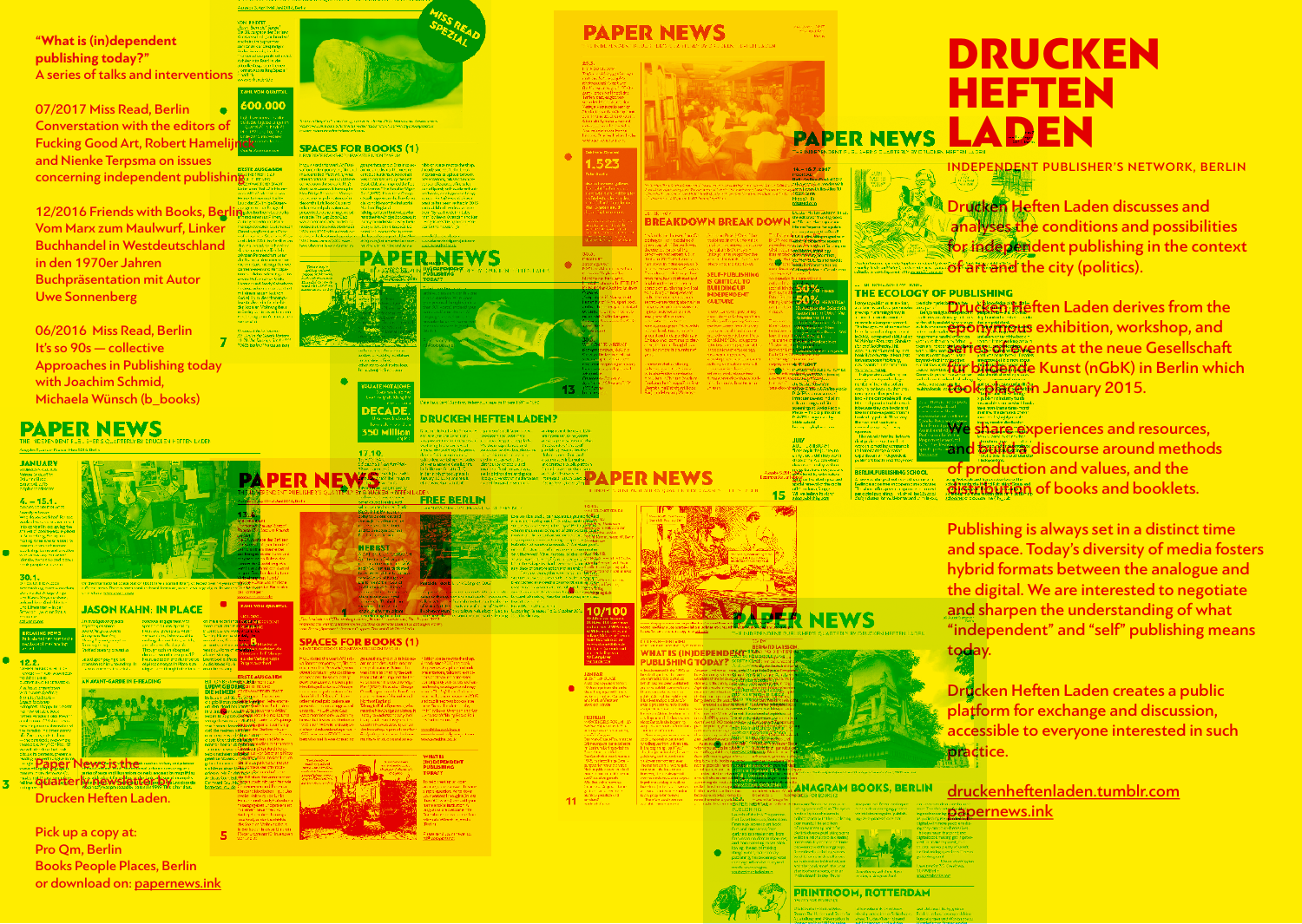**"What is (in)dependent publishing today?"** A series of talks and interventions

07/2017 Miss Read, Berlin Converstation with the editors of Fucking Good Art, Robert Hameli and Nienke Terpsma on issues concerning independent publishing

12/2016 Friends with Books, Berl Vom Marx zum Maulwurf, Linker Buchhandel in Westdeutschland in den 1970er Jahren Buchpräsentation mit Autor Uwe Sonnenberg

06/2016 Miss Read, Berlin It's so 90s — collective Approaches in Publishing today with Joachim Schmid, Michaela Wünsch (b\_books)

# **PAPER NEWS**

| <b>JANUARY</b>                                                                      |                       |
|-------------------------------------------------------------------------------------|-----------------------|
|                                                                                     |                       |
| HUBBURY CALIUS<br>Maps Seduation<br>Manice Boos                                     |                       |
|                                                                                     |                       |
| sklaatskill 2015<br>talphonaachistana                                               |                       |
|                                                                                     |                       |
|                                                                                     |                       |
| $4.-15.4$                                                                           |                       |
| <b>COUNTERFROM</b>                                                                  |                       |
| nerely schooler                                                                     |                       |
| ena da yautearkitati Parizza.<br>waka ilmumuu maa wa mara 1                         |                       |
|                                                                                     |                       |
| rio qosbeth ac gwlegdw                                                              |                       |
| rte vez zil zooktogoegu e-placez<br>LiSa erri dan gulfan ag aer                     |                       |
| rading three works wiskup to:<br>www.com.com/center.com                             |                       |
|                                                                                     |                       |
| :Loising Convertibution<br>Sinkerswivey for event                                   |                       |
|                                                                                     |                       |
| derský piera knipped popul<br>Historyjské revolucie                                 |                       |
|                                                                                     |                       |
|                                                                                     |                       |
| 30.1.                                                                               |                       |
| <b>SACELED CALCOS</b><br>erreaching marketers                                       | Or dwl<br>ofrom       |
| Anvez Ad Alug-Jings                                                                 | <b>Chick Is</b>       |
| ing Kurup-Dinge dan Ameri                                                           |                       |
| educed described children.                                                          |                       |
| .no Differenten – Inicer<br>Stragger – Jwiet (od Star.)                             |                       |
|                                                                                     |                       |
| o como este.<br>Estas español                                                       | <b><i>Instruc</i></b> |
|                                                                                     |                       |
|                                                                                     |                       |
|                                                                                     | <b>Riginals</b>       |
| <b>BREAKING HEWS</b>                                                                | avaid, 3<br>Staty o   |
| hills alaced the Sampaule                                                           |                       |
| reclosed means he                                                                   |                       |
| an and                                                                              | Marie<br>Supple       |
|                                                                                     | sepedia               |
| 12.2.                                                                               | attorido              |
| WHEN INTERFERING                                                                    | <b>COLOR</b>          |
| CWERT - HORY ASSAULT                                                                |                       |
|                                                                                     | <b>CN AV</b>          |
| YO ZIŽO OKANDI<br>FURTAT HINJO DA FUTNATENA                                         |                       |
| a kara rustian                                                                      |                       |
| ent turiem denhero,<br>preferinte de de                                             |                       |
|                                                                                     |                       |
| bywat bookwayn<br>Gregorys' Chappy en cynnwr                                        |                       |
| a new Mades book                                                                    |                       |
|                                                                                     |                       |
| ra menomena e poez<br>Wisan Parackor I, okto Power 1<br>Cod Patagon (174 dans 1984) |                       |
| era - ing asalaha diwestian of<br>ne panellor in same nyamiy                        |                       |
|                                                                                     |                       |
| de Zamança de tad ano.<br>Actor combineix experient                                 |                       |
| han co.c.Wry? Cr Pap 12<br>areal of checked and                                     |                       |
| chause ha compensa prepentive                                                       |                       |
|                                                                                     |                       |
|                                                                                     | æ.                    |
|                                                                                     | v                     |
| Paper                                                                               | zartea el             |
| agles not Please corrier<br><u>- q</u> uart                                         | <u>lamai</u><br>y١    |



Drucken Heften Laden.

ON KAHN: IN PLACE

Pick up a copy at: Pro Qm, Berlin Books People Places, Berlin or download on: papernews.ink



#### **SPACES FOR BOOKS (1)**

17.10

**HERBST** 

**ER NEWS** 





#### **DECADI DRUCKEN HEFTEN LADEN?** 350 Millia

# **FREE BERLIN**

10/100

## **SPACES FOR BOOKS (1)**





15

**MADEA NEWS** 

**HAT IS (IN)DEPENDEN** 

523

# DRUCKEN HEFTEN **PAPER NEWS LADEN**

INDEPENDENT PUBLISHER'S NETWORK, BERLIN

Drucken Heften Laden discusses and analyses the conditions and possibilities for independent publishing in the context of art and the city (politics).

#### THE ECOLOGY OF PUBLISHING

Drucken Heften Laden derives from the eponymous exhibition, workshop, and series of events at the neue Gesellschaft für bildende Kunst (nGbK) in Berlin which took place in January 2015.

We share experiences and resources, and build a discourse around methods of production and values, and the distribution of books and booklets.

Publishing is always set in a distinct time and space. Today's diversity of media fosters hybrid formats between the analogue and the digital. We are interested to negotiate and sharpen the understanding of what "independent" and "self" publishing means today.

Drucken Heften Laden creates a public platform for exchange and discussion, accessible to everyone interested in such practice.

**INAGRAM BOOKS, BERLIN** druckenheftenladen.tumblr.com papernews.ink









**PRINTROOM, ROTTERDAM**